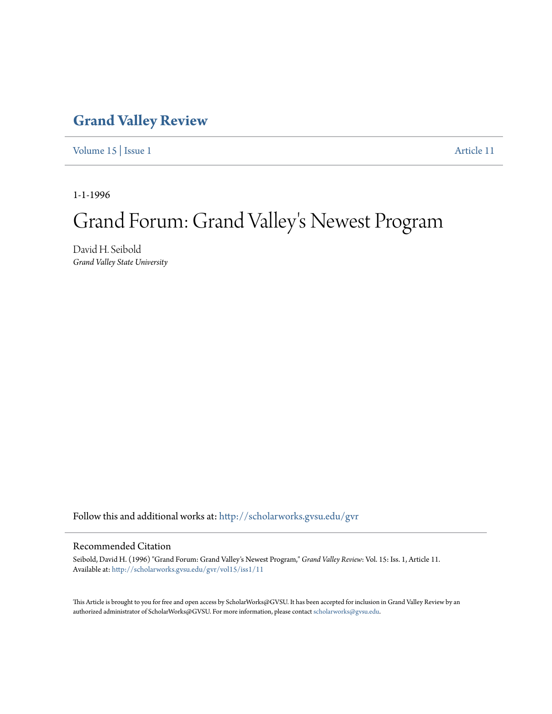## **[Grand Valley Review](http://scholarworks.gvsu.edu/gvr?utm_source=scholarworks.gvsu.edu%2Fgvr%2Fvol15%2Fiss1%2F11&utm_medium=PDF&utm_campaign=PDFCoverPages)**

[Volume 15](http://scholarworks.gvsu.edu/gvr/vol15?utm_source=scholarworks.gvsu.edu%2Fgvr%2Fvol15%2Fiss1%2F11&utm_medium=PDF&utm_campaign=PDFCoverPages) | [Issue 1](http://scholarworks.gvsu.edu/gvr/vol15/iss1?utm_source=scholarworks.gvsu.edu%2Fgvr%2Fvol15%2Fiss1%2F11&utm_medium=PDF&utm_campaign=PDFCoverPages) [Article 11](http://scholarworks.gvsu.edu/gvr/vol15/iss1/11?utm_source=scholarworks.gvsu.edu%2Fgvr%2Fvol15%2Fiss1%2F11&utm_medium=PDF&utm_campaign=PDFCoverPages)

1-1-1996

# Grand Forum: Grand Valley 's Newest Program

David H. Seibold *Grand Valley State University*

Follow this and additional works at: [http://scholarworks.gvsu.edu/gvr](http://scholarworks.gvsu.edu/gvr?utm_source=scholarworks.gvsu.edu%2Fgvr%2Fvol15%2Fiss1%2F11&utm_medium=PDF&utm_campaign=PDFCoverPages)

#### Recommended Citation

Seibold, David H. (1996) "Grand Forum: Grand Valley's Newest Program," *Grand Valley Review*: Vol. 15: Iss. 1, Article 11. Available at: [http://scholarworks.gvsu.edu/gvr/vol15/iss1/11](http://scholarworks.gvsu.edu/gvr/vol15/iss1/11?utm_source=scholarworks.gvsu.edu%2Fgvr%2Fvol15%2Fiss1%2F11&utm_medium=PDF&utm_campaign=PDFCoverPages)

This Article is brought to you for free and open access by ScholarWorks@GVSU. It has been accepted for inclusion in Grand Valley Review by an authorized administrator of ScholarWorks@GVSU. For more information, please contact [scholarworks@gvsu.edu.](mailto:scholarworks@gvsu.edu)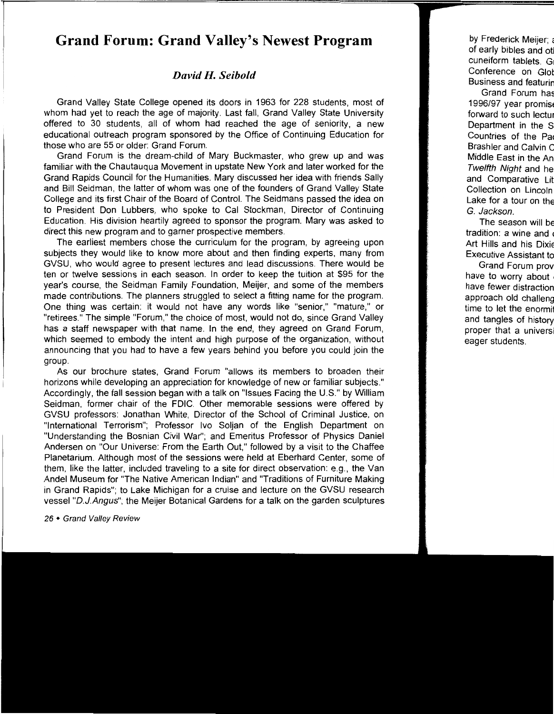### **Grand Forum: Grand Valley's Newest Program**

#### *David H. Seibold*

Grand Valley State College opened its doors in 1963 for 228 students, most of whom had yet to reach the age of majority. Last fall, Grand Valley State University offered to 30 students, all of whom had reached the age of seniority, a new educational outreach program sponsored by the Office of Continuing Education for those who are 55 or older: Grand Forum.

Grand Forum is the dream-child of Mary Buckmaster, who grew up and was familiar with the Chautauqua Movement in upstate New York and later worked for the Grand Rapids Council for the Humanities. Mary discussed her idea with friends Sally and Bill Seidman, the latter of whom was one of the founders of Grand Valley State College and its first Chair of the Board of Control. The Seidmans passed the idea on to President Don Lubbers, who spoke to Cal Stockman, Director of Continuing Education. His division heartily agreed to sponsor the program. Mary was asked to direct this new program and to garner prospective members.

The earliest members chose the curriculum for the program, by agreeing upon subjects they would like to know more about and then finding experts, many from GVSU, who would agree to present lectures and lead discussions. There would be ten or twelve sessions in each season. In order to keep the tuition at \$95 for the year's course, the Seidman Family Foundation, Meijer, and some of the members made contributions. The planners struggled to select a fitting name for the program. One thing was certain: it would not have any words like "senior," "mature," or "retirees." The simple "Forum," the choice of most, would not do, since Grand Valley has a staff newspaper with that name. In the end, they agreed on Grand Forum, which seemed to embody the intent and high purpose of the organization, without announcing that you had to have a few years behind you before you could join the group.

As our brochure states, Grand Forum "allows its members to broaden their horizons while developing an appreciation for knowledge of new or familiar subjects." Accordingly, the fall session began with a talk on "Issues Facing the U.S." by William Seidman, former chair of the FDIC. Other memorable sessions were offered by GVSU professors: Jonathan White, Director of the School of Criminal Justice, on "International Terrorism"; Professor lvo Soljan of the English Department on "Understanding the Bosnian Civil War"; and Emeritus Professor of Physics Daniel Andersen on "Our Universe: From the Earth Out," followed by a visit to the Chaffee Planetarium. Although most of the sessions were held at Eberhard Center, some of them, like the latter, included traveling to a site for direct observation: e.g., the Van Andel Museum for "The Native American Indian" and "Traditions of Furniture Making in Grand Rapids"; to Lake Michigan for a cruise and lecture on the GVSU research vessel "D.J.Angus"; the Meijer Botanical Gardens for a talk on the garden sculptures